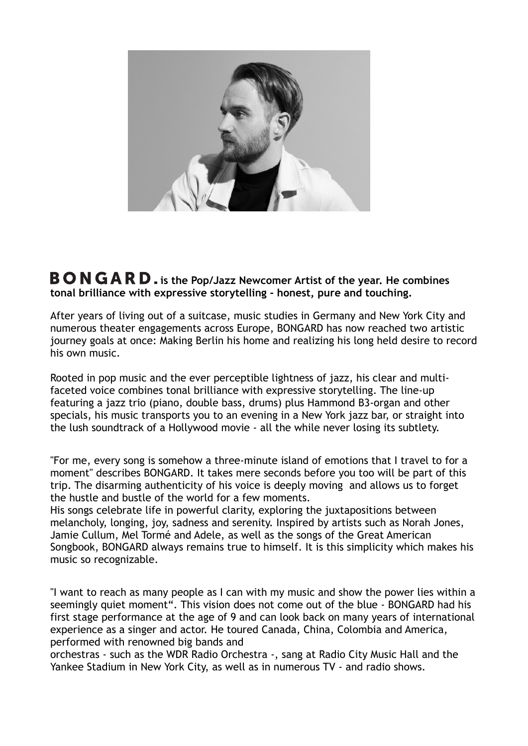

## **BONGARD.** is the Pop/Jazz Newcomer Artist of the year. He combines **tonal brilliance with expressive storytelling - honest, pure and touching.**

After years of living out of a suitcase, music studies in Germany and New York City and numerous theater engagements across Europe, BONGARD has now reached two artistic journey goals at once: Making Berlin his home and realizing his long held desire to record his own music.

Rooted in pop music and the ever perceptible lightness of jazz, his clear and multifaceted voice combines tonal brilliance with expressive storytelling. The line-up featuring a jazz trio (piano, double bass, drums) plus Hammond B3-organ and other specials, his music transports you to an evening in a New York jazz bar, or straight into the lush soundtrack of a Hollywood movie - all the while never losing its subtlety.

"For me, every song is somehow a three-minute island of emotions that I travel to for a moment" describes BONGARD. It takes mere seconds before you too will be part of this trip. The disarming authenticity of his voice is deeply moving and allows us to forget the hustle and bustle of the world for a few moments.

His songs celebrate life in powerful clarity, exploring the juxtapositions between melancholy, longing, joy, sadness and serenity. Inspired by artists such as Norah Jones, Jamie Cullum, Mel Tormé and Adele, as well as the songs of the Great American Songbook, BONGARD always remains true to himself. It is this simplicity which makes his music so recognizable.

"I want to reach as many people as I can with my music and show the power lies within a seemingly quiet moment". This vision does not come out of the blue - BONGARD had his first stage performance at the age of 9 and can look back on many years of international experience as a singer and actor. He toured Canada, China, Colombia and America, performed with renowned big bands and

orchestras - such as the WDR Radio Orchestra -, sang at Radio City Music Hall and the Yankee Stadium in New York City, as well as in numerous TV - and radio shows.